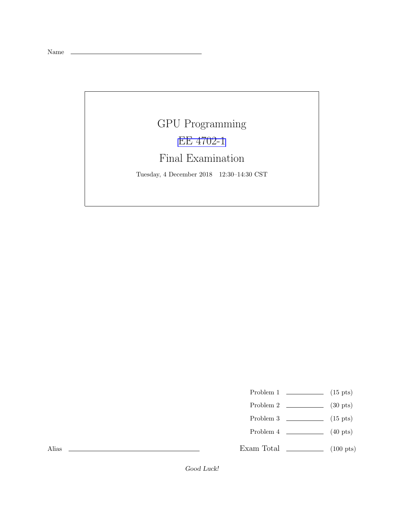Name \_\_

## GPU Programming [EE 4702-1](https://www.ece.lsu.edu/koppel/gpup/) Final Examination

Tuesday, 4 December 2018 12:30–14:30 CST

- Problem 1  $\qquad \qquad$  (15 pts)
- Problem 2  $\qquad \qquad$  (30 pts)
- Problem 3  $\qquad \qquad$  (15 pts)
- Problem 4  $\qquad \qquad (40 \text{ pts})$
- Exam Total \_\_\_\_\_\_\_\_\_\_\_\_\_ (100 pts)

Alias

Good Luck!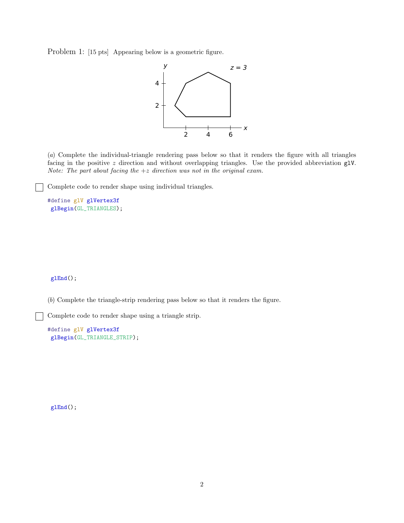Problem 1: [15 pts] Appearing below is a geometric figure.



(*a*) Complete the individual-triangle rendering pass below so that it renders the figure with all triangles facing in the positive z direction and without overlapping triangles. Use the provided abbreviation glV. *Note: The part about facing the* +z *direction was not in the original exam.*

Complete code to render shape using individual triangles.

```
#define glV glVertex3f
glBegin(GL_TRIANGLES);
```
## glEnd();

(*b*) Complete the triangle-strip rendering pass below so that it renders the figure.

Complete code to render shape using a triangle strip.

```
#define glV glVertex3f
glBegin(GL_TRIANGLE_STRIP);
```
glEnd();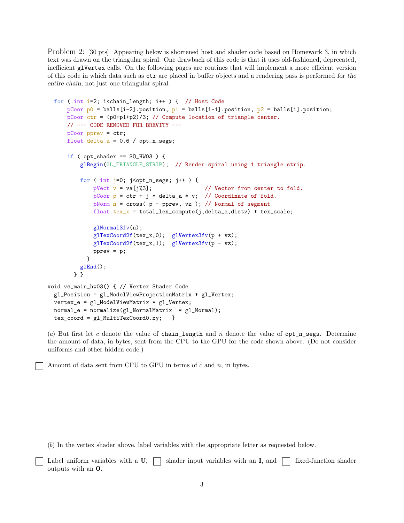Problem 2: [30 pts] Appearing below is shortened host and shader code based on Homework 3, in which text was drawn on the triangular spiral. One drawback of this code is that it uses old-fashioned, deprecated, inefficient glVertex calls. On the following pages are routines that will implement a more efficient version of this code in which data such as ctr are placed in buffer objects and a rendering pass is performed for the entire chain, not just one triangular spiral.

```
for ( int i=2; i<chain_length; i++ ) { // Host Code
      pCoor p0 = balls[i-2].position, p1 = balls[i-1].position, p2 = balls[i].position;
      pCoor ctr = (p0+p1+p2)/3; // Compute location of triangle center.
      // --- CODE REMOVED FOR BREVITY ---
      pCoor pprev = ctr;
      float delta_a = 0.6 / opt_n_segs;
      if ( opt_shader == SO_HW03 ) {
          glBegin(GL_TRIANGLE_STRIP); // Render spiral using 1 triangle strip.
          for ( int j=0; j<opt_n_segs; j++ ) {
              pVect v = va[j\text{\textdegree}3]; // Vector from center to fold.
              pCoor p = \text{ctr} + j * \text{delta}_a * v; // Coordinate of fold.
              pNorm n = cross( p - pprev, vz ); // Normal of segment.
              float text_x = total_length\_compute(j,delta_a,distv) * tax_scale;glNormal3fv(n);
              glTexCoord2f(tex_x,0); glVertex3fv(p + vz);
              glTexCoord2f(tex_x,1); glVertex3fv(p - vz);
              pprev = p;
            }
          glEnd();
        } }
void vs_main_hw03() { // Vertex Shader Code
  gl_Position = gl_ModelViewProjectionMatrix * gl_Vertex;
  vertex_e = gl_ModelViewMatrix * gl_Vertex;
  normal_e = normalize(g1_NormalMatrix * g1_Normal);tex_coord = gl_MultiTexCoord0.xy; }
```
(a) But first let c denote the value of chain\_length and n denote the value of  $opt_n$  segs. Determine the amount of data, in bytes, sent from the CPU to the GPU for the code shown above. (Do not consider uniforms and other hidden code.)

Amount of data sent from CPU to GPU in terms of  $c$  and  $n$ , in bytes.

(*b*) In the vertex shader above, label variables with the appropriate letter as requested below.

|                                | $\Box$ Label uniform variables with a U, $\Box$ shader input variables with an I, and $\Box$ fixed-function shader |  |
|--------------------------------|--------------------------------------------------------------------------------------------------------------------|--|
| outputs with an $\mathbf{0}$ . |                                                                                                                    |  |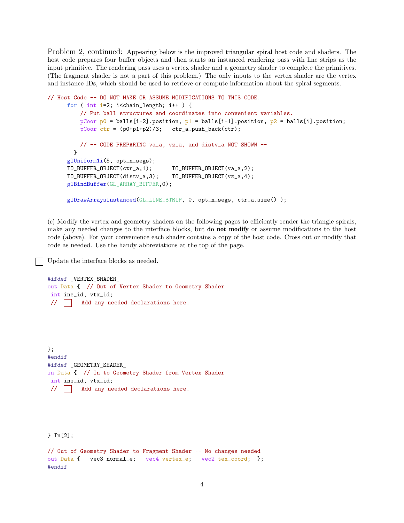Problem 2, continued: Appearing below is the improved triangular spiral host code and shaders. The host code prepares four buffer objects and then starts an instanced rendering pass with line strips as the input primitive. The rendering pass uses a vertex shader and a geometry shader to complete the primitives. (The fragment shader is not a part of this problem.) The only inputs to the vertex shader are the vertex and instance IDs, which should be used to retrieve or compute information about the spiral segments.

```
// Host Code -- DO NOT MAKE OR ASSUME MODIFICATIONS TO THIS CODE.
     for ( int i=2; i<chain_length; i++ ) {
         // Put ball structures and coordinates into convenient variables.
         pCoor p0 = balls[i-2].position, p1 = balls[i-1].position, p2 = balls[i].position;
         pCoor ctr = (p0+p1+p2)/3; ctr_a.push_back(ctr);
         // -- CODE PREPARING va_a, vz_a, and distv_a NOT SHOWN --
       }
     glUniform1i(5, opt_n_segs);
     TO_BUFFER_OBJECT(ctr_a,1); TO_BUFFER_OBJECT(va_a,2);
     TO_BUFFER_OBJECT(distv_a,3); TO_BUFFER_OBJECT(vz_a,4);
      glBindBuffer(GL_ARRAY_BUFFER,0);
     glDrawArraysInstanced(GL_LINE_STRIP, 0, opt_n_segs, ctr_a.size() );
```
(*c*) Modify the vertex and geometry shaders on the following pages to efficiently render the triangle spirals, make any needed changes to the interface blocks, but **do not modify** or assume modifications to the host code (above). For your convenience each shader contains a copy of the host code. Cross out or modify that code as needed. Use the handy abbreviations at the top of the page.

Update the interface blocks as needed.

#ifdef \_VERTEX\_SHADER\_ out Data { // Out of Vertex Shader to Geometry Shader int ins\_id, vtx\_id; // | | Add any needed declarations here.

}; #endif #ifdef \_GEOMETRY\_SHADER\_ in Data { // In to Geometry Shader from Vertex Shader int ins\_id, vtx\_id; // Add any needed declarations here.

} In[2];

// Out of Geometry Shader to Fragment Shader -- No changes needed out Data { vec3 normal\_e; vec4 vertex\_e; vec2 tex\_coord; }; #endif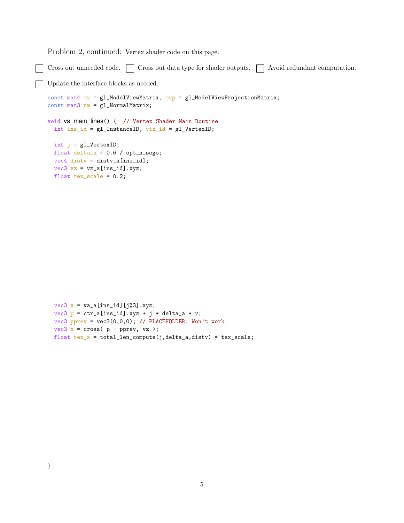Problem 2, continued: Vertex shader code on this page.

Cross out unneeded code.  $\Box$  Cross out data type for shader outputs.  $\Box$  Avoid redundant computation. Update the interface blocks as needed. const mat4 mv = gl\_ModelViewMatrix, mvp = gl\_ModelViewProjectionMatrix; const mat3 nm = gl\_NormalMatrix; void vs\_main\_lines() { // Vertex Shader Main Routine int ins\_id =  $gl\_InstanceID$ ,  $vtx_id = gl\_VertexID$ ; int j = gl\_VertexID; float  $delta_a = 0.6 / opt_n_s$ segs;  $vec4$  disty = disty\_a[ins\_id];  $vec3$  vz =  $vz_a[ins_id].xyz;$ float  $tex_e$ scale = 0.2;

```
vec3 v = va_a[ins_id][j%3].xyz;
vec3 p = ctr_a[ins_id].xyz + j * delta_a * v;vec3 pprev = vec3(0,0,0); // PLACEHOLDER. Won't work.
vec3 n = cross( p - pprev, vz );float text_x = total_length\_compute(j, delta_a, distv) * tax\_scale;
```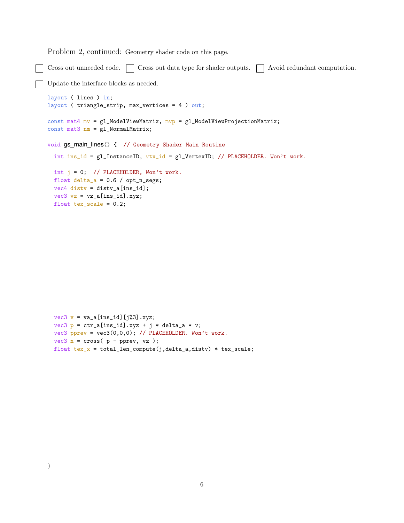Problem 2, continued: Geometry shader code on this page.

Cross out unneeded code.  $\Box$  Cross out data type for shader outputs.  $\Box$  Avoid redundant computation.

```
Update the interface blocks as needed.
```

```
layout ( lines ) in;
layout ( triangle_strip, max_vertices = 4 ) out;
const mat4 mv = g1_ModelViewMatrix, mvp = g1_ModelViewProjectionMatrix;
const mat3 nm = gl_NormalMatrix;
void gs main lines() { // Geometry Shader Main Routine
  int ins_id = gl_InstanceID, vtx_id = g1_VertexID; // PLACEHOLDER. Won't work.
 int j = 0; // PLACEHOLDER, Won't work.
 float delta_a = 0.6 / opt_n_ssegs;
 vec4 disty = disty_a[ins_id];
 vec3 vz = vz_a[ins_id].xyz;float tex_scale = 0.2;
```

```
vec3 v = va_a[ins_id][j%3].xyz;
vec3 p = ctr_a[ins_id].xyz + j * delta_a * v;vec3 pprev = vec3(0,0,0); // PLACEHOLDER. Won't work.
vec3 n = cross( p - pprev, vz );
float text_x = total_length\_compute(j, delta_a, distv) * tax\_scale;
```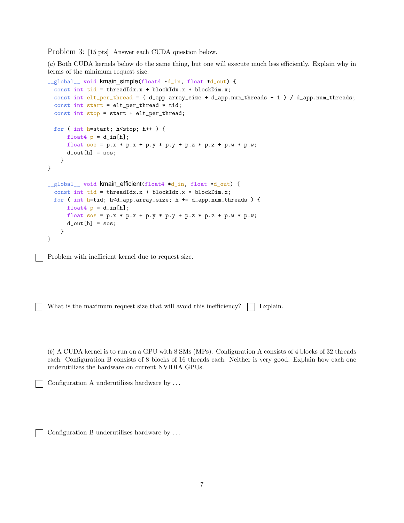Problem 3: [15 pts] Answer each CUDA question below.

(*a*) Both CUDA kernels below do the same thing, but one will execute much less efficiently. Explain why in terms of the minimum request size.

```
__global__ void kmain_simple(float4 *d_in, float *d_out) {
  const int tid = threadIdx.x + blockIdx.x * blockDim.x;
  const int elt_per_thread = ( d_app.array_size + d_app.num_threads - 1 ) / d_app.num_threads;
  const int start = elt_per_thread * tid;
  const int stop = start + elt_per_thread;
  for ( int h=start; h<stop; h++ ) {
      float4 p = d_{in}[h];
      float sos = p.x * p.x + p.y * p.y + p.z * p.z + p.w * p.w;
      d_out[h] = sos;}
}
__global__ void kmain_efficient(float4 *d_in, float *d_out) {
  const int tid = threadIdx.x + blockIdx.x * blockDim.x;
 for ( int h=tid; h<d_app.array_size; h += d_app.num_threads ) {
      float4 p = d_{in}[h];
      float sos = p.x * p.x + p.y * p.y + p.z * p.z + p.w * p.w;
      d_{out}[h] = sos;}
}
```
Problem with inefficient kernel due to request size.

What is the maximum request size that will avoid this inefficiency?  $\Box$  Explain.

(*b*) A CUDA kernel is to run on a GPU with 8 SMs (MPs). Configuration A consists of 4 blocks of 32 threads each. Configuration B consists of 8 blocks of 16 threads each. Neither is very good. Explain how each one underutilizes the hardware on current NVIDIA GPUs.

```
Configuration A underutilizes hardware by . . .
```
Configuration B underutilizes hardware by . . .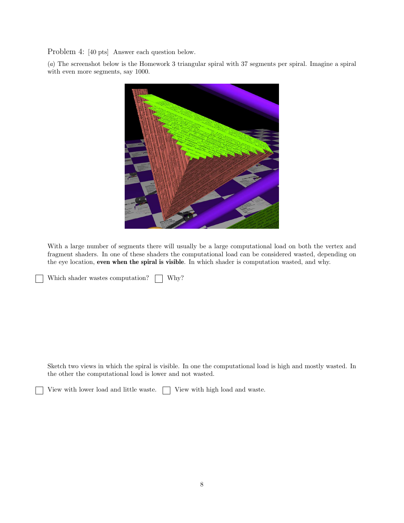Problem 4: [40 pts] Answer each question below.

(*a*) The screenshot below is the Homework 3 triangular spiral with 37 segments per spiral. Imagine a spiral with even more segments, say 1000.



With a large number of segments there will usually be a large computational load on both the vertex and fragment shaders. In one of these shaders the computational load can be considered wasted, depending on the eye location, even when the spiral is visible. In which shader is computation wasted, and why.

Which shader wastes computation?  $\Box$  Why?

Sketch two views in which the spiral is visible. In one the computational load is high and mostly wasted. In the other the computational load is lower and not wasted.

View with lower load and little waste.  $\Box$  View with high load and waste.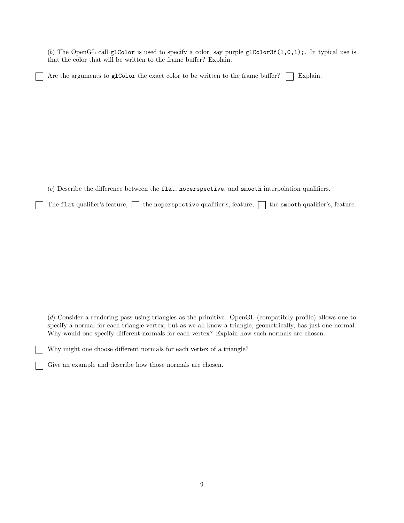(b) The OpenGL call glColor is used to specify a color, say purple glColor3f $(1,0,1)$ ;. In typical use is that the color that will be written to the frame buffer? Explain.

Are the arguments to glColor the exact color to be written to the frame buffer?  $\Box$  Explain.

(*c*) Describe the difference between the flat, noperspective, and smooth interpolation qualifiers.

The flat qualifier's feature,  $\Box$  the noperspective qualifier's, feature,  $\Box$  the smooth qualifier's, feature.

(*d*) Consider a rendering pass using triangles as the primitive. OpenGL (compatibily profile) allows one to specify a normal for each triangle vertex, but as we all know a triangle, geometrically, has just one normal. Why would one specify different normals for each vertex? Explain how such normals are chosen.

Why might one choose different normals for each vertex of a triangle?

Give an example and describe how those normals are chosen.